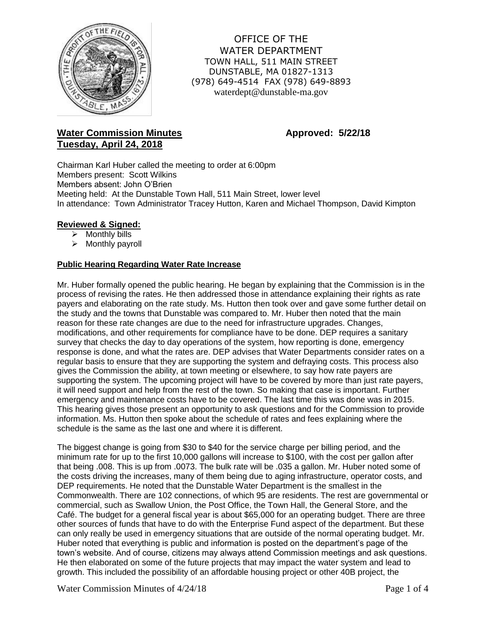

OFFICE OF THE WATER DEPARTMENT TOWN HALL, 511 MAIN STREET DUNSTABLE, MA 01827-1313 (978) 649-4514 FAX (978) 649-8893 waterdept@dunstable-ma.gov

# **Water Commission Minutes <b>Approved:** 5/22/18 **Tuesday, April 24, 2018**

Chairman Karl Huber called the meeting to order at 6:00pm Members present: Scott Wilkins Members absent: John O'Brien Meeting held: At the Dunstable Town Hall, 511 Main Street, lower level In attendance: Town Administrator Tracey Hutton, Karen and Michael Thompson, David Kimpton

# **Reviewed & Signed:**

- $\triangleright$  Monthly bills
- $\triangleright$  Monthly payroll

# **Public Hearing Regarding Water Rate Increase**

Mr. Huber formally opened the public hearing. He began by explaining that the Commission is in the process of revising the rates. He then addressed those in attendance explaining their rights as rate payers and elaborating on the rate study. Ms. Hutton then took over and gave some further detail on the study and the towns that Dunstable was compared to. Mr. Huber then noted that the main reason for these rate changes are due to the need for infrastructure upgrades. Changes, modifications, and other requirements for compliance have to be done. DEP requires a sanitary survey that checks the day to day operations of the system, how reporting is done, emergency response is done, and what the rates are. DEP advises that Water Departments consider rates on a regular basis to ensure that they are supporting the system and defraying costs. This process also gives the Commission the ability, at town meeting or elsewhere, to say how rate payers are supporting the system. The upcoming project will have to be covered by more than just rate payers, it will need support and help from the rest of the town. So making that case is important. Further emergency and maintenance costs have to be covered. The last time this was done was in 2015. This hearing gives those present an opportunity to ask questions and for the Commission to provide information. Ms. Hutton then spoke about the schedule of rates and fees explaining where the schedule is the same as the last one and where it is different.

The biggest change is going from \$30 to \$40 for the service charge per billing period, and the minimum rate for up to the first 10,000 gallons will increase to \$100, with the cost per gallon after that being .008. This is up from .0073. The bulk rate will be .035 a gallon. Mr. Huber noted some of the costs driving the increases, many of them being due to aging infrastructure, operator costs, and DEP requirements. He noted that the Dunstable Water Department is the smallest in the Commonwealth. There are 102 connections, of which 95 are residents. The rest are governmental or commercial, such as Swallow Union, the Post Office, the Town Hall, the General Store, and the Café. The budget for a general fiscal year is about \$65,000 for an operating budget. There are three other sources of funds that have to do with the Enterprise Fund aspect of the department. But these can only really be used in emergency situations that are outside of the normal operating budget. Mr. Huber noted that everything is public and information is posted on the department's page of the town's website. And of course, citizens may always attend Commission meetings and ask questions. He then elaborated on some of the future projects that may impact the water system and lead to growth. This included the possibility of an affordable housing project or other 40B project, the

Water Commission Minutes of  $4/24/18$  Page 1 of 4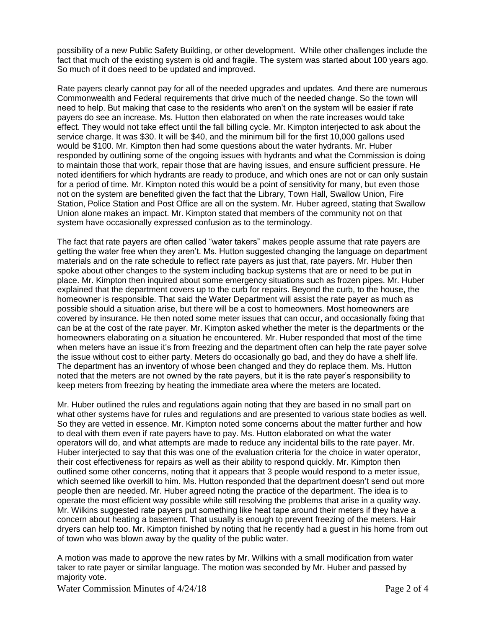possibility of a new Public Safety Building, or other development. While other challenges include the fact that much of the existing system is old and fragile. The system was started about 100 years ago. So much of it does need to be updated and improved.

Rate payers clearly cannot pay for all of the needed upgrades and updates. And there are numerous Commonwealth and Federal requirements that drive much of the needed change. So the town will need to help. But making that case to the residents who aren't on the system will be easier if rate payers do see an increase. Ms. Hutton then elaborated on when the rate increases would take effect. They would not take effect until the fall billing cycle. Mr. Kimpton interjected to ask about the service charge. It was \$30. It will be \$40, and the minimum bill for the first 10,000 gallons used would be \$100. Mr. Kimpton then had some questions about the water hydrants. Mr. Huber responded by outlining some of the ongoing issues with hydrants and what the Commission is doing to maintain those that work, repair those that are having issues, and ensure sufficient pressure. He noted identifiers for which hydrants are ready to produce, and which ones are not or can only sustain for a period of time. Mr. Kimpton noted this would be a point of sensitivity for many, but even those not on the system are benefited given the fact that the Library, Town Hall, Swallow Union, Fire Station, Police Station and Post Office are all on the system. Mr. Huber agreed, stating that Swallow Union alone makes an impact. Mr. Kimpton stated that members of the community not on that system have occasionally expressed confusion as to the terminology.

The fact that rate payers are often called "water takers" makes people assume that rate payers are getting the water free when they aren't. Ms. Hutton suggested changing the language on department materials and on the rate schedule to reflect rate payers as just that, rate payers. Mr. Huber then spoke about other changes to the system including backup systems that are or need to be put in place. Mr. Kimpton then inquired about some emergency situations such as frozen pipes. Mr. Huber explained that the department covers up to the curb for repairs. Beyond the curb, to the house, the homeowner is responsible. That said the Water Department will assist the rate payer as much as possible should a situation arise, but there will be a cost to homeowners. Most homeowners are covered by insurance. He then noted some meter issues that can occur, and occasionally fixing that can be at the cost of the rate payer. Mr. Kimpton asked whether the meter is the departments or the homeowners elaborating on a situation he encountered. Mr. Huber responded that most of the time when meters have an issue it's from freezing and the department often can help the rate payer solve the issue without cost to either party. Meters do occasionally go bad, and they do have a shelf life. The department has an inventory of whose been changed and they do replace them. Ms. Hutton noted that the meters are not owned by the rate payers, but it is the rate payer's responsibility to keep meters from freezing by heating the immediate area where the meters are located.

Mr. Huber outlined the rules and regulations again noting that they are based in no small part on what other systems have for rules and regulations and are presented to various state bodies as well. So they are vetted in essence. Mr. Kimpton noted some concerns about the matter further and how to deal with them even if rate payers have to pay. Ms. Hutton elaborated on what the water operators will do, and what attempts are made to reduce any incidental bills to the rate payer. Mr. Huber interjected to say that this was one of the evaluation criteria for the choice in water operator, their cost effectiveness for repairs as well as their ability to respond quickly. Mr. Kimpton then outlined some other concerns, noting that it appears that 3 people would respond to a meter issue, which seemed like overkill to him. Ms. Hutton responded that the department doesn't send out more people then are needed. Mr. Huber agreed noting the practice of the department. The idea is to operate the most efficient way possible while still resolving the problems that arise in a quality way. Mr. Wilkins suggested rate payers put something like heat tape around their meters if they have a concern about heating a basement. That usually is enough to prevent freezing of the meters. Hair dryers can help too. Mr. Kimpton finished by noting that he recently had a guest in his home from out of town who was blown away by the quality of the public water.

A motion was made to approve the new rates by Mr. Wilkins with a small modification from water taker to rate payer or similar language. The motion was seconded by Mr. Huber and passed by majority vote.

Water Commission Minutes of  $4/24/18$  Page 2 of 4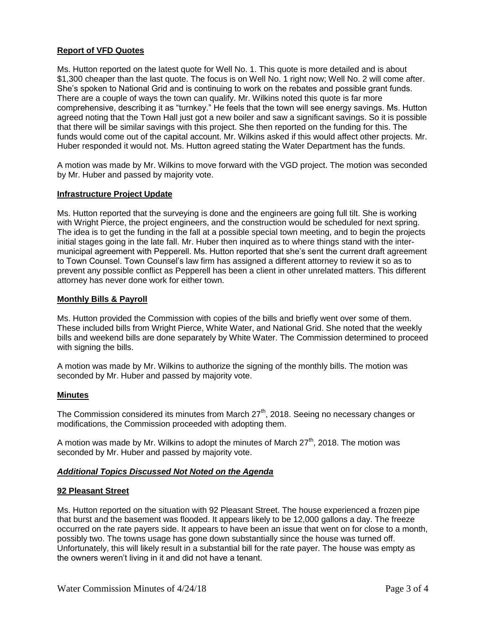### **Report of VFD Quotes**

Ms. Hutton reported on the latest quote for Well No. 1. This quote is more detailed and is about \$1,300 cheaper than the last quote. The focus is on Well No. 1 right now; Well No. 2 will come after. She's spoken to National Grid and is continuing to work on the rebates and possible grant funds. There are a couple of ways the town can qualify. Mr. Wilkins noted this quote is far more comprehensive, describing it as "turnkey." He feels that the town will see energy savings. Ms. Hutton agreed noting that the Town Hall just got a new boiler and saw a significant savings. So it is possible that there will be similar savings with this project. She then reported on the funding for this. The funds would come out of the capital account. Mr. Wilkins asked if this would affect other projects. Mr. Huber responded it would not. Ms. Hutton agreed stating the Water Department has the funds.

A motion was made by Mr. Wilkins to move forward with the VGD project. The motion was seconded by Mr. Huber and passed by majority vote.

### **Infrastructure Project Update**

Ms. Hutton reported that the surveying is done and the engineers are going full tilt. She is working with Wright Pierce, the project engineers, and the construction would be scheduled for next spring. The idea is to get the funding in the fall at a possible special town meeting, and to begin the projects initial stages going in the late fall. Mr. Huber then inquired as to where things stand with the intermunicipal agreement with Pepperell. Ms. Hutton reported that she's sent the current draft agreement to Town Counsel. Town Counsel's law firm has assigned a different attorney to review it so as to prevent any possible conflict as Pepperell has been a client in other unrelated matters. This different attorney has never done work for either town.

### **Monthly Bills & Payroll**

Ms. Hutton provided the Commission with copies of the bills and briefly went over some of them. These included bills from Wright Pierce, White Water, and National Grid. She noted that the weekly bills and weekend bills are done separately by White Water. The Commission determined to proceed with signing the bills.

A motion was made by Mr. Wilkins to authorize the signing of the monthly bills. The motion was seconded by Mr. Huber and passed by majority vote.

### **Minutes**

The Commission considered its minutes from March 27<sup>th</sup>, 2018. Seeing no necessary changes or modifications, the Commission proceeded with adopting them.

A motion was made by Mr. Wilkins to adopt the minutes of March  $27<sup>th</sup>$ , 2018. The motion was seconded by Mr. Huber and passed by majority vote.

### *Additional Topics Discussed Not Noted on the Agenda*

#### **92 Pleasant Street**

Ms. Hutton reported on the situation with 92 Pleasant Street. The house experienced a frozen pipe that burst and the basement was flooded. It appears likely to be 12,000 gallons a day. The freeze occurred on the rate payers side. It appears to have been an issue that went on for close to a month, possibly two. The towns usage has gone down substantially since the house was turned off. Unfortunately, this will likely result in a substantial bill for the rate payer. The house was empty as the owners weren't living in it and did not have a tenant.